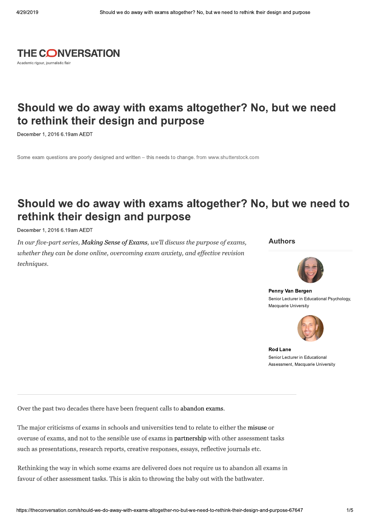

## Should we do away with exams altogether? No, but we need to rethink their design and purpose

December 1, 2016 6, 19am AEDT

Some exam questions are poorly designed and written - this needs to change, from www.shutterstock.com

# Should we do away with exams altogether? No, but we need to rethink their design and purpose

December 1, 2016 6.19am AEDT

In our five-part series, Making Sense of Exams, we'll discuss the purpose of exams, whether they can be done online, overcoming exam anxiety, and effective revision techniques.

#### **Authors**



Penny Van Bergen Senior Lecturer in Educational Psychology, Macquarie University



**Rod Lane** Senior Lecturer in Educational Assessment, Macquarie University

Over the past two decades there have been frequent calls to abandon exams.

The major criticisms of exams in schools and universities tend to relate to either the misuse or overuse of exams, and not to the sensible use of exams in partnership with other assessment tasks such as presentations, research reports, creative responses, essays, reflective journals etc.

Rethinking the way in which some exams are delivered does not require us to abandon all exams in favour of other assessment tasks. This is akin to throwing the baby out with the bathwater.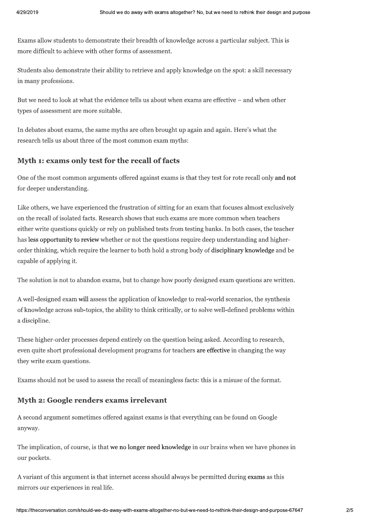Exams allow students to demonstrate their breadth of knowledge across a particular subject. This is more difficult to achieve with other forms of assessment.

Students also demonstrate their ability to retrieve and apply knowledge on the spot: a skill necessary in many professions.

But we need to look at what the evidence tells us about when exams are effective - and when other types of assessment are more suitable.

In debates about exams, the same myths are often brought up again and again. Here's what the research tells us about three of the most common exam myths:

#### Myth 1: exams only test for the recall of facts

One of the most common arguments offered against exams is that they test for rote recall only and not for deeper understanding.

Like others, we have experienced the frustration of sitting for an exam that focuses almost exclusively on the recall of isolated facts. Research shows that such exams are more common when teachers either write questions quickly or rely on published tests from testing banks. In both cases, the teacher has less opportunity to review whether or not the questions require deep understanding and higherorder thinking, which require the learner to both hold a strong body of disciplinary knowledge and be capable of applying it.

The solution is not to abandon exams, but to change how poorly designed exam questions are written.

A well-designed exam will assess the application of knowledge to real-world scenarios, the synthesis of knowledge across sub-topics, the ability to think critically, or to solve well-defined problems within a discipline.

These higher-order processes depend entirely on the question being asked. According to research, even quite short professional development programs for teachers are effective in changing the way they write exam questions.

Exams should not be used to assess the recall of meaningless facts: this is a misuse of the format.

#### Myth 2: Google renders exams irrelevant

A second argument sometimes offered against exams is that everything can be found on Google anyway.

The implication, of course, is that we no longer need knowledge in our brains when we have phones in our pockets.

A variant of this argument is that internet access should always be permitted during exams as this mirrors our experiences in real life.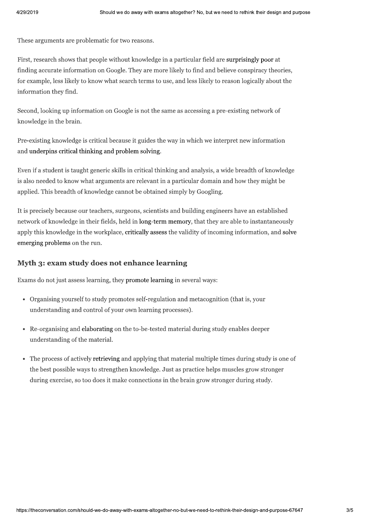These arguments are problematic for two reasons.

First, research shows that people without knowledge in a particular field are surprisingly poor at finding accurate information on Google. They are more likely to find and believe conspiracy theories, for example, less likely to know what search terms to use, and less likely to reason logically about the information they find.

Second, looking up information on Google is not the same as accessing a pre-existing network of knowledge in the brain.

Pre-existing knowledge is critical because it guides the way in which we interpret new information and underpins critical thinking and problem solving.

Even if a student is taught generic skills in critical thinking and analysis, a wide breadth of knowledge is also needed to know what arguments are relevant in a particular domain and how they might be applied. This breadth of knowledge cannot be obtained simply by Googling.

It is precisely because our teachers, surgeons, scientists and building engineers have an established network of knowledge in their fields, held in long-term memory, that they are able to instantaneously apply this knowledge in the workplace, critically assess the validity of incoming information, and solve emerging problems on the run.

### Myth 3: exam study does not enhance learning

Exams do not just assess learning, they promote learning in several ways:

- Organising yourself to study promotes self-regulation and metacognition (that is, your understanding and control of your own learning processes).
- Re-organising and elaborating on the to-be-tested material during study enables deeper understanding of the material.
- The process of actively retrieving and applying that material multiple times during study is one of the best possible ways to strengthen knowledge. Just as practice helps muscles grow stronger during exercise, so too does it make connections in the brain grow stronger during study.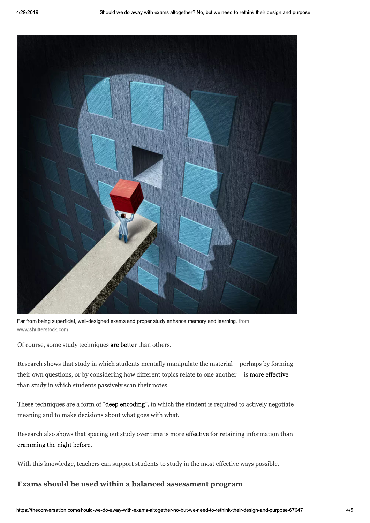

Far from being superficial, well-designed exams and proper study enhance memory and learning. from www.shutterstock.com

Of course, some study techniques are better than others.

Research shows that study in which students mentally manipulate the material – perhaps by forming their own questions, or by considering how different topics relate to one another  $-$  is more effective than study in which students passively scan their notes.

These techniques are a form of "deep encoding", in which the student is required to actively negotiate meaning and to make decisions about what goes with what.

Research also shows that spacing out study over time is more effective for retaining information than cramming the night before.

With this knowledge, teachers can support students to study in the most effective ways possible.

### Exams should be used within a balanced assessment program